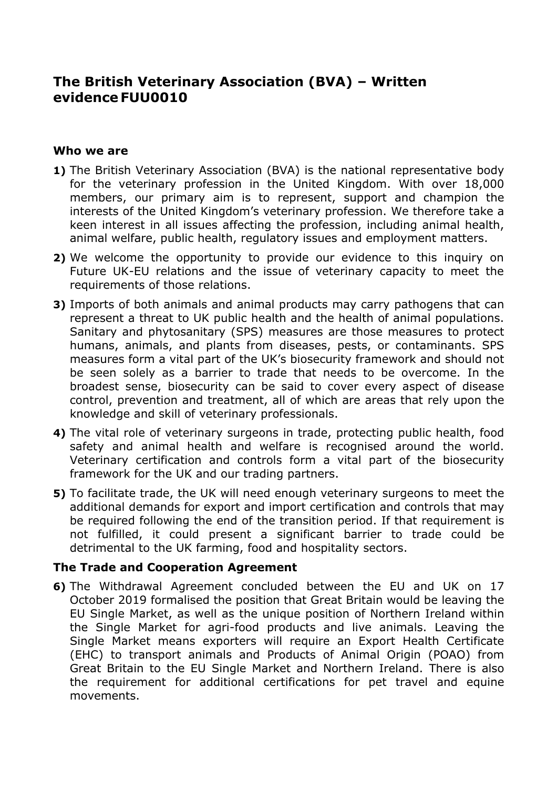# **The British Veterinary Association (BVA) – Written evidence FUU0010**

#### **Who we are**

- **1)** The British Veterinary Association (BVA) is the national representative body for the veterinary profession in the United Kingdom. With over 18,000 members, our primary aim is to represent, support and champion the interests of the United Kingdom's veterinary profession. We therefore take a keen interest in all issues affecting the profession, including animal health, animal welfare, public health, regulatory issues and employment matters.
- **2)** We welcome the opportunity to provide our evidence to this inquiry on Future UK-EU relations and the issue of veterinary capacity to meet the requirements of those relations.
- **3)** Imports of both animals and animal products may carry pathogens that can represent a threat to UK public health and the health of animal populations. Sanitary and phytosanitary (SPS) measures are those measures to protect humans, animals, and plants from diseases, pests, or contaminants. SPS measures form a vital part of the UK's biosecurity framework and should not be seen solely as a barrier to trade that needs to be overcome. In the broadest sense, biosecurity can be said to cover every aspect of disease control, prevention and treatment, all of which are areas that rely upon the knowledge and skill of veterinary professionals.
- **4)** The vital role of veterinary surgeons in trade, protecting public health, food safety and animal health and welfare is recognised around the world. Veterinary certification and controls form a vital part of the biosecurity framework for the UK and our trading partners.
- **5)** To facilitate trade, the UK will need enough veterinary surgeons to meet the additional demands for export and import certification and controls that may be required following the end of the transition period. If that requirement is not fulfilled, it could present a significant barrier to trade could be detrimental to the UK farming, food and hospitality sectors.

#### **The Trade and Cooperation Agreement**

**6)** The Withdrawal Agreement concluded between the EU and UK on 17 October 2019 formalised the position that Great Britain would be leaving the EU Single Market, as well as the unique position of Northern Ireland within the Single Market for agri-food products and live animals. Leaving the Single Market means exporters will require an Export Health Certificate (EHC) to transport animals and Products of Animal Origin (POAO) from Great Britain to the EU Single Market and Northern Ireland. There is also the requirement for additional certifications for pet travel and equine movements.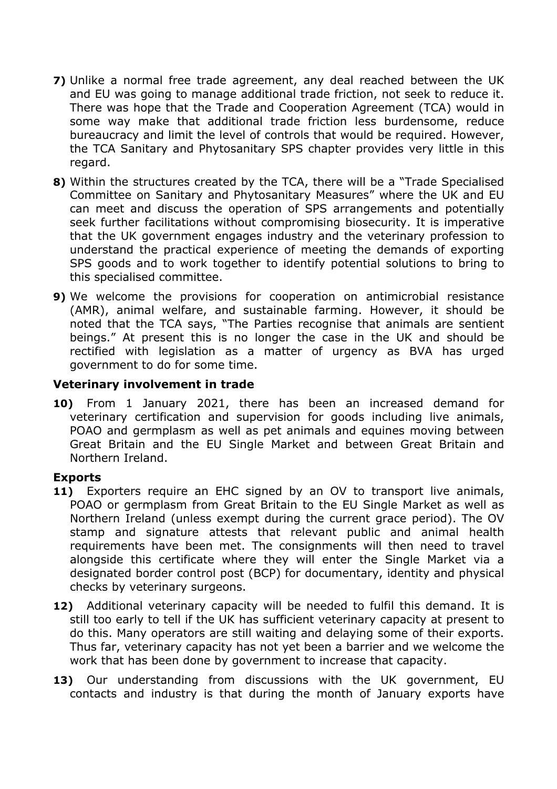- **7)** Unlike a normal free trade agreement, any deal reached between the UK and EU was going to manage additional trade friction, not seek to reduce it. There was hope that the Trade and Cooperation Agreement (TCA) would in some way make that additional trade friction less burdensome, reduce bureaucracy and limit the level of controls that would be required. However, the TCA Sanitary and Phytosanitary SPS chapter provides very little in this regard.
- **8)** Within the structures created by the TCA, there will be a "Trade Specialised Committee on Sanitary and Phytosanitary Measures" where the UK and EU can meet and discuss the operation of SPS arrangements and potentially seek further facilitations without compromising biosecurity. It is imperative that the UK government engages industry and the veterinary profession to understand the practical experience of meeting the demands of exporting SPS goods and to work together to identify potential solutions to bring to this specialised committee.
- **9)** We welcome the provisions for cooperation on antimicrobial resistance (AMR), animal welfare, and sustainable farming. However, it should be noted that the TCA says, "The Parties recognise that animals are sentient beings." At present this is no longer the case in the UK and should be rectified with legislation as a matter of urgency as BVA has urged government to do for some time.

## **Veterinary involvement in trade**

**10)** From 1 January 2021, there has been an increased demand for veterinary certification and supervision for goods including live animals, POAO and germplasm as well as pet animals and equines moving between Great Britain and the EU Single Market and between Great Britain and Northern Ireland.

## **Exports**

- **11)** Exporters require an EHC signed by an OV to transport live animals, POAO or germplasm from Great Britain to the EU Single Market as well as Northern Ireland (unless exempt during the current grace period). The OV stamp and signature attests that relevant public and animal health requirements have been met. The consignments will then need to travel alongside this certificate where they will enter the Single Market via a designated border control post (BCP) for documentary, identity and physical checks by veterinary surgeons.
- **12)** Additional veterinary capacity will be needed to fulfil this demand. It is still too early to tell if the UK has sufficient veterinary capacity at present to do this. Many operators are still waiting and delaying some of their exports. Thus far, veterinary capacity has not yet been a barrier and we welcome the work that has been done by government to increase that capacity.
- **13)** Our understanding from discussions with the UK government, EU contacts and industry is that during the month of January exports have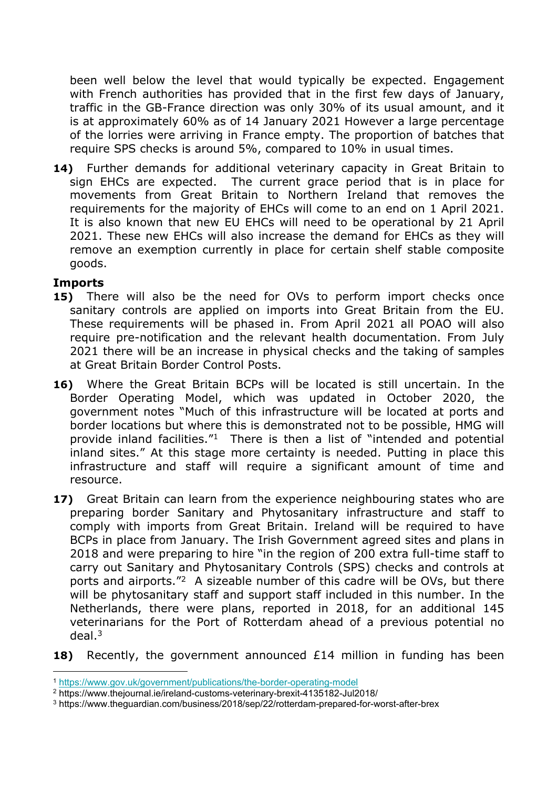been well below the level that would typically be expected. Engagement with French authorities has provided that in the first few days of January, traffic in the GB-France direction was only 30% of its usual amount, and it is at approximately 60% as of 14 January 2021 However a large percentage of the lorries were arriving in France empty. The proportion of batches that require SPS checks is around 5%, compared to 10% in usual times.

**14)** Further demands for additional veterinary capacity in Great Britain to sign EHCs are expected. The current grace period that is in place for movements from Great Britain to Northern Ireland that removes the requirements for the majority of EHCs will come to an end on 1 April 2021. It is also known that new EU EHCs will need to be operational by 21 April 2021. These new EHCs will also increase the demand for EHCs as they will remove an exemption currently in place for certain shelf stable composite goods.

## **Imports**

- **15)** There will also be the need for OVs to perform import checks once sanitary controls are applied on imports into Great Britain from the EU. These requirements will be phased in. From April 2021 all POAO will also require pre-notification and the relevant health documentation. From July 2021 there will be an increase in physical checks and the taking of samples at Great Britain Border Control Posts.
- **16)** Where the Great Britain BCPs will be located is still uncertain. In the Border Operating Model, which was updated in October 2020, the government notes "Much of this infrastructure will be located at ports and border locations but where this is demonstrated not to be possible, HMG will provide inland facilities."<sup>1</sup> There is then a list of "intended and potential inland sites." At this stage more certainty is needed. Putting in place this infrastructure and staff will require a significant amount of time and resource.
- **17)** Great Britain can learn from the experience neighbouring states who are preparing border Sanitary and Phytosanitary infrastructure and staff to comply with imports from Great Britain. Ireland will be required to have BCPs in place from January. The Irish Government agreed sites and plans in 2018 and were preparing to hire "in the region of 200 extra full-time staff to carry out Sanitary and Phytosanitary Controls (SPS) checks and controls at ports and airports."<sup>2</sup> A sizeable number of this cadre will be OVs, but there will be phytosanitary staff and support staff included in this number. In the Netherlands, there were plans, reported in 2018, for an additional 145 veterinarians for the Port of Rotterdam ahead of a previous potential no deal.<sup>3</sup>
- **18)** Recently, the government announced £14 million in funding has been

<sup>1</sup> <https://www.gov.uk/government/publications/the-border-operating-model>

<sup>2</sup> https://www.thejournal.ie/ireland-customs-veterinary-brexit-4135182-Jul2018/

<sup>3</sup> https://www.theguardian.com/business/2018/sep/22/rotterdam-prepared-for-worst-after-brex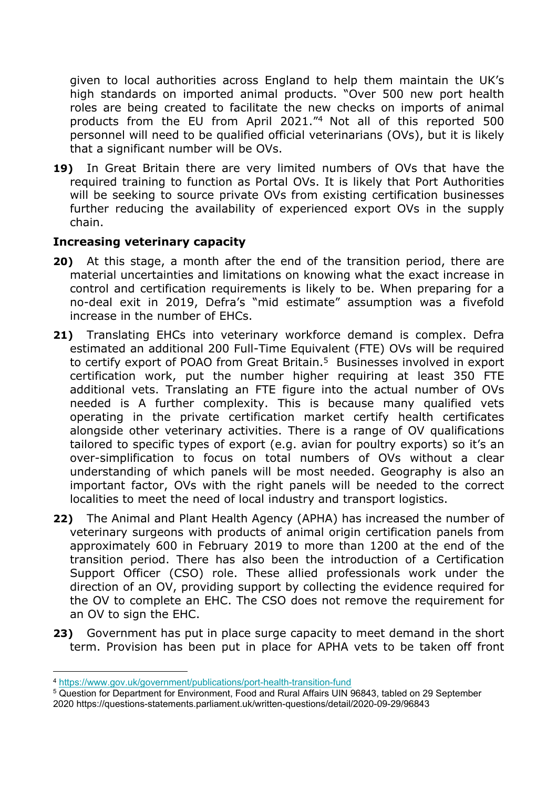given to local authorities across England to help them maintain the UK's high standards on imported animal products. "Over 500 new port health roles are being created to facilitate the new checks on imports of animal products from the EU from April 2021."<sup>4</sup> Not all of this reported 500 personnel will need to be qualified official veterinarians (OVs), but it is likely that a significant number will be OVs.

**19)** In Great Britain there are very limited numbers of OVs that have the required training to function as Portal OVs. It is likely that Port Authorities will be seeking to source private OVs from existing certification businesses further reducing the availability of experienced export OVs in the supply chain.

# **Increasing veterinary capacity**

- **20)** At this stage, a month after the end of the transition period, there are material uncertainties and limitations on knowing what the exact increase in control and certification requirements is likely to be. When preparing for a no-deal exit in 2019, Defra's "mid estimate" assumption was a fivefold increase in the number of EHCs.
- **21)** Translating EHCs into veterinary workforce demand is complex. Defra estimated an additional 200 Full-Time Equivalent (FTE) OVs will be required to certify export of POAO from Great Britain.<sup>5</sup> Businesses involved in export certification work, put the number higher requiring at least 350 FTE additional vets. Translating an FTE figure into the actual number of OVs needed is A further complexity. This is because many qualified vets operating in the private certification market certify health certificates alongside other veterinary activities. There is a range of OV qualifications tailored to specific types of export (e.g. avian for poultry exports) so it's an over-simplification to focus on total numbers of OVs without a clear understanding of which panels will be most needed. Geography is also an important factor, OVs with the right panels will be needed to the correct localities to meet the need of local industry and transport logistics.
- **22)** The Animal and Plant Health Agency (APHA) has increased the number of veterinary surgeons with products of animal origin certification panels from approximately 600 in February 2019 to more than 1200 at the end of the transition period. There has also been the introduction of a Certification Support Officer (CSO) role. These allied professionals work under the direction of an OV, providing support by collecting the evidence required for the OV to complete an EHC. The CSO does not remove the requirement for an OV to sign the EHC.
- **23)** Government has put in place surge capacity to meet demand in the short term. Provision has been put in place for APHA vets to be taken off front

<sup>5</sup> Question for Department for Environment, Food and Rural Affairs UIN 96843, tabled on 29 September 2020 https://questions-statements.parliament.uk/written-questions/detail/2020-09-29/96843

<sup>4</sup> <https://www.gov.uk/government/publications/port-health-transition-fund>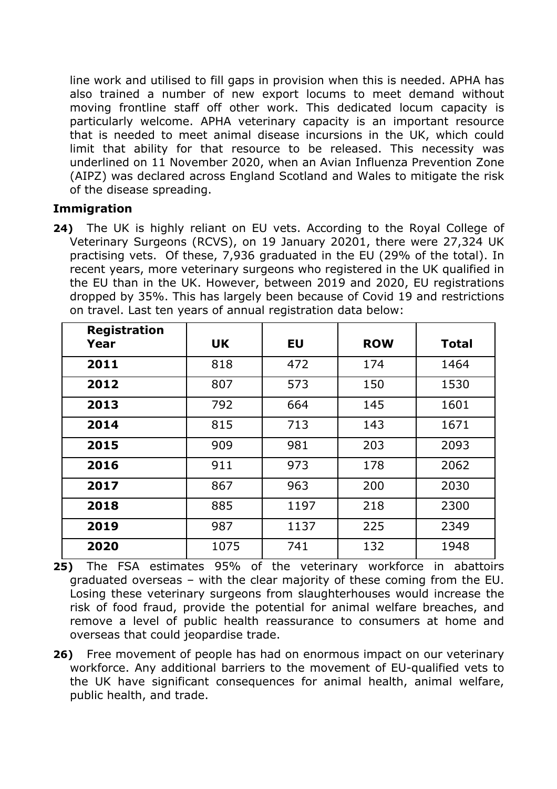line work and utilised to fill gaps in provision when this is needed. APHA has also trained a number of new export locums to meet demand without moving frontline staff off other work. This dedicated locum capacity is particularly welcome. APHA veterinary capacity is an important resource that is needed to meet animal disease incursions in the UK, which could limit that ability for that resource to be released. This necessity was underlined on 11 November 2020, when an Avian Influenza Prevention Zone (AIPZ) was declared across England Scotland and Wales to mitigate the risk of the disease spreading.

# **Immigration**

**24)** The UK is highly reliant on EU vets. According to the Royal College of Veterinary Surgeons (RCVS), on 19 January 20201, there were 27,324 UK practising vets. Of these, 7,936 graduated in the EU (29% of the total). In recent years, more veterinary surgeons who registered in the UK qualified in the EU than in the UK. However, between 2019 and 2020, EU registrations dropped by 35%. This has largely been because of Covid 19 and restrictions on travel. Last ten years of annual registration data below:

| <b>Registration</b><br>Year | <b>UK</b> | <b>EU</b> | <b>ROW</b> | <b>Total</b> |
|-----------------------------|-----------|-----------|------------|--------------|
| 2011                        | 818       | 472       | 174        | 1464         |
| 2012                        | 807       | 573       | 150        | 1530         |
| 2013                        | 792       | 664       | 145        | 1601         |
| 2014                        | 815       | 713       | 143        | 1671         |
| 2015                        | 909       | 981       | 203        | 2093         |
| 2016                        | 911       | 973       | 178        | 2062         |
| 2017                        | 867       | 963       | 200        | 2030         |
| 2018                        | 885       | 1197      | 218        | 2300         |
| 2019                        | 987       | 1137      | 225        | 2349         |
| 2020                        | 1075      | 741       | 132        | 1948         |

**25)** The FSA estimates 95% of the veterinary workforce in abattoirs graduated overseas – with the clear majority of these coming from the EU. Losing these veterinary surgeons from slaughterhouses would increase the risk of food fraud, provide the potential for animal welfare breaches, and remove a level of public health reassurance to consumers at home and overseas that could jeopardise trade.

**26)** Free movement of people has had on enormous impact on our veterinary workforce. Any additional barriers to the movement of EU-qualified vets to the UK have significant consequences for animal health, animal welfare, public health, and trade.